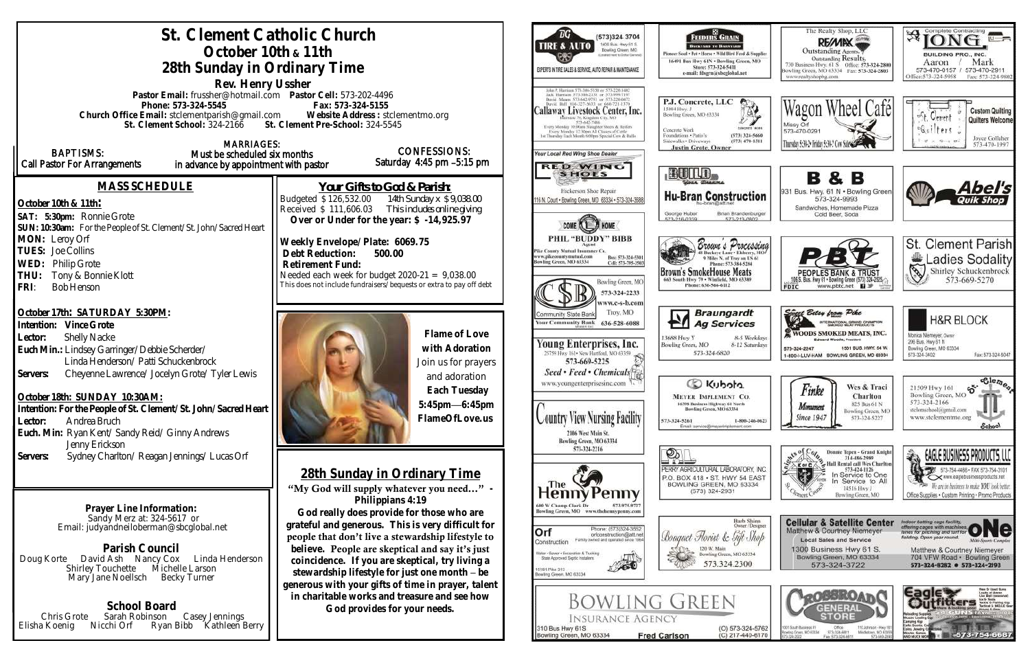